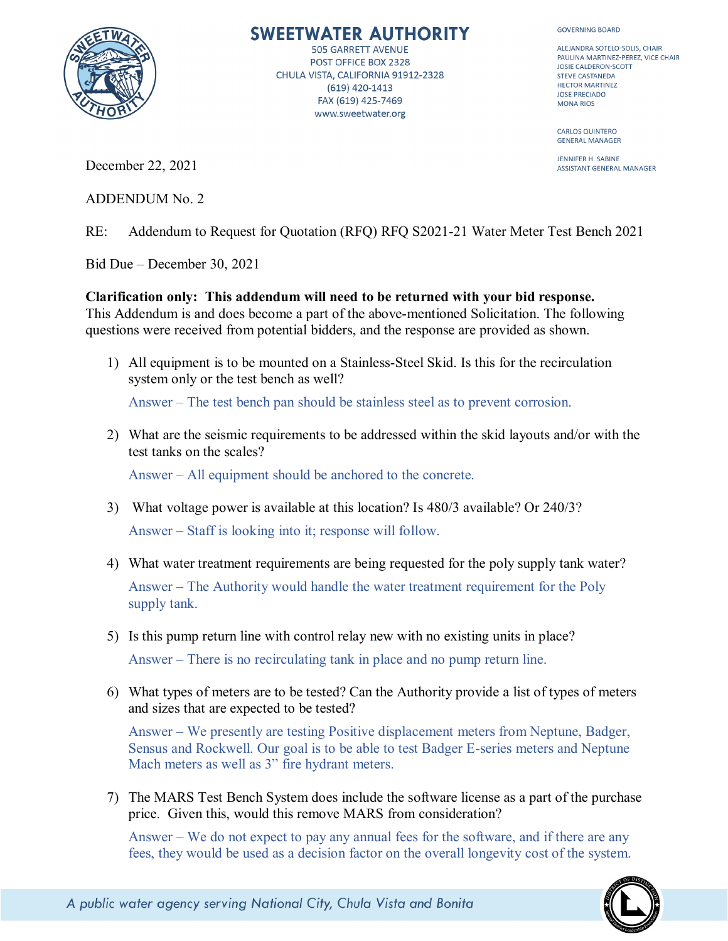

## **SWEETWATER AUTHORITY**

**505 GARRETT AVENUE** POST OFFICE BOX 2328 CHULA VISTA, CALIFORNIA 91912-2328 (619) 420-1413 FAX (619) 425-7469 www.sweetwater.org

## **GOVERNING BOARD**

ALEJANDRA SOTELO-SOLIS, CHAIR PAULINA MARTINEZ-PEREZ, VICE CHAIR JOSIE CALDERON-SCOTT **STEVE CASTANEDA HECTOR MARTINEZ JOSE PRECIADO MONA RIOS** 

**CARLOS QUINTERO GENERAL MANAGER** 

JENNIFER H. SABINE **ASSISTANT GENERAL MANAGER** 

December 22, 2021

ADDENDUM No. 2

RE: Addendum to Request for Quotation (RFQ) RFQ S2021-21 Water Meter Test Bench 2021

Bid Due – December 30, 2021

## **Clarification only: This addendum will need to be returned with your bid response.**

This Addendum is and does become a part of the above-mentioned Solicitation. The following questions were received from potential bidders, and the response are provided as shown.

1) All equipment is to be mounted on a Stainless-Steel Skid. Is this for the recirculation system only or the test bench as well?

Answer – The test bench pan should be stainless steel as to prevent corrosion.

2) What are the seismic requirements to be addressed within the skid layouts and/or with the test tanks on the scales?

Answer – All equipment should be anchored to the concrete.

- 3) What voltage power is available at this location? Is 480/3 available? Or 240/3? Answer – Staff is looking into it; response will follow.
- 4) What water treatment requirements are being requested for the poly supply tank water? Answer – The Authority would handle the water treatment requirement for the Poly supply tank.
- 5) Is this pump return line with control relay new with no existing units in place? Answer – There is no recirculating tank in place and no pump return line.
- 6) What types of meters are to be tested? Can the Authority provide a list of types of meters and sizes that are expected to be tested?

Answer – We presently are testing Positive displacement meters from Neptune, Badger, Sensus and Rockwell. Our goal is to be able to test Badger E-series meters and Neptune Mach meters as well as 3" fire hydrant meters.

7) The MARS Test Bench System does include the software license as a part of the purchase price. Given this, would this remove MARS from consideration?

Answer – We do not expect to pay any annual fees for the software, and if there are any fees, they would be used as a decision factor on the overall longevity cost of the system.

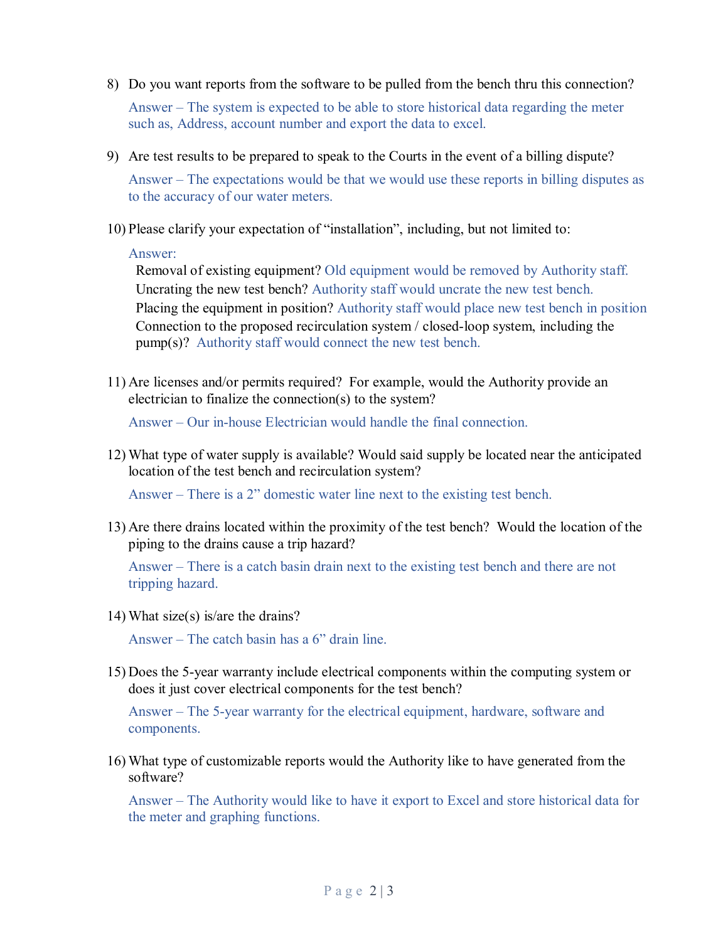- 8) Do you want reports from the software to be pulled from the bench thru this connection? Answer – The system is expected to be able to store historical data regarding the meter such as, Address, account number and export the data to excel.
- 9) Are test results to be prepared to speak to the Courts in the event of a billing dispute?

Answer – The expectations would be that we would use these reports in billing disputes as to the accuracy of our water meters.

10) Please clarify your expectation of "installation", including, but not limited to:

## Answer:

 Removal of existing equipment? Old equipment would be removed by Authority staff. Uncrating the new test bench? Authority staff would uncrate the new test bench. Placing the equipment in position? Authority staff would place new test bench in position Connection to the proposed recirculation system / closed-loop system, including the pump(s)? Authority staff would connect the new test bench.

11) Are licenses and/or permits required? For example, would the Authority provide an electrician to finalize the connection(s) to the system?

Answer – Our in-house Electrician would handle the final connection.

12) What type of water supply is available? Would said supply be located near the anticipated location of the test bench and recirculation system?

Answer – There is a 2" domestic water line next to the existing test bench.

13) Are there drains located within the proximity of the test bench? Would the location of the piping to the drains cause a trip hazard?

Answer – There is a catch basin drain next to the existing test bench and there are not tripping hazard.

14) What size(s) is/are the drains?

Answer – The catch basin has a 6" drain line.

15) Does the 5-year warranty include electrical components within the computing system or does it just cover electrical components for the test bench?

Answer – The 5-year warranty for the electrical equipment, hardware, software and components.

16) What type of customizable reports would the Authority like to have generated from the software?

Answer – The Authority would like to have it export to Excel and store historical data for the meter and graphing functions.